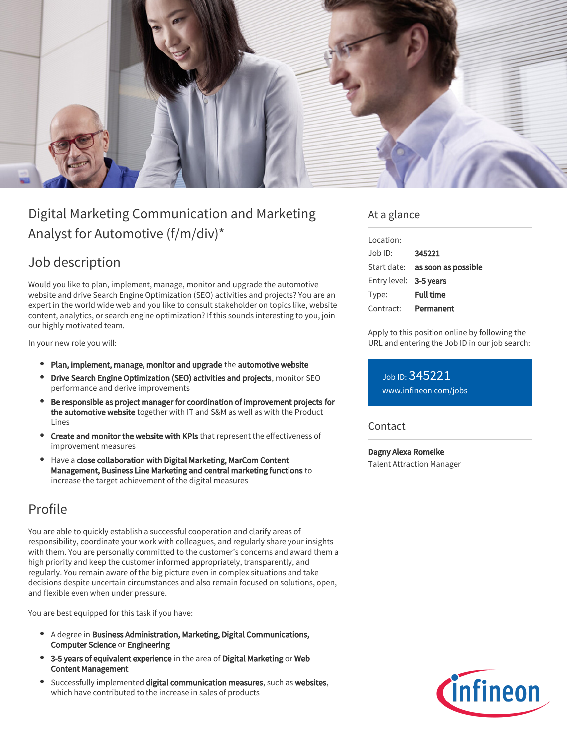

# Digital Marketing Communication and Marketing Analyst for Automotive (f/m/div)\*

### Job description

Would you like to plan, implement, manage, monitor and upgrade the automotive website and drive Search Engine Optimization (SEO) activities and projects? You are an expert in the world wide web and you like to consult stakeholder on topics like, website content, analytics, or search engine optimization? If this sounds interesting to you, join our highly motivated team.

In your new role you will:

- Plan, implement, manage, monitor and upgrade the automotive website
- **Drive Search Engine Optimization (SEO) activities and projects**, monitor SEO performance and derive improvements
- **Be responsible as project manager for coordination of improvement projects for** the automotive website together with IT and S&M as well as with the Product Lines
- **Create and monitor the website with KPIs** that represent the effectiveness of improvement measures
- Have a close collaboration with Digital Marketing, MarCom Content Management, Business Line Marketing and central marketing functions to increase the target achievement of the digital measures

### Profile

You are able to quickly establish a successful cooperation and clarify areas of responsibility, coordinate your work with colleagues, and regularly share your insights with them. You are personally committed to the customer's concerns and award them a high priority and keep the customer informed appropriately, transparently, and regularly. You remain aware of the big picture even in complex situations and take decisions despite uncertain circumstances and also remain focused on solutions, open, and flexible even when under pressure.

You are best equipped for this task if you have:

- A degree in Business Administration, Marketing, Digital Communications, Computer Science or Engineering
- 3-5 years of equivalent experience in the area of Digital Marketing or Web Content Management
- Successfully implemented digital communication measures, such as websites, which have contributed to the increase in sales of products

#### At a glance

| Location:              |                                 |
|------------------------|---------------------------------|
| $Job$ ID:              | 345221                          |
|                        | Start date: as soon as possible |
| Entry level: 3-5 years |                                 |
| Type:                  | <b>Full time</b>                |
| Contract:              | Permanent                       |

Apply to this position online by following the URL and entering the Job ID in our job search:

Job ID: 345221 [www.infineon.com/jobs](https://www.infineon.com/jobs)

**Contact** 

Dagny Alexa Romeike Talent Attraction Manager